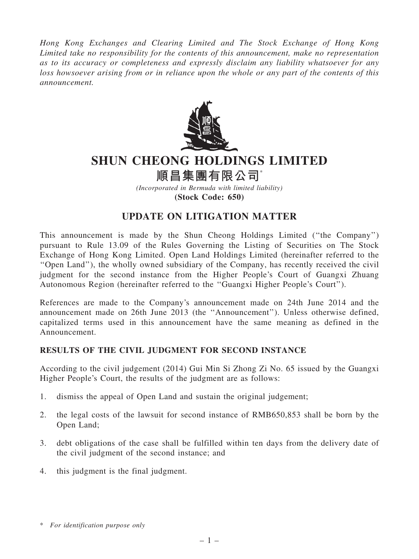Hong Kong Exchanges and Clearing Limited and The Stock Exchange of Hong Kong Limited take no responsibility for the contents of this announcement, make no representation as to its accuracy or completeness and expressly disclaim any liability whatsoever for any loss howsoever arising from or in reliance upon the whole or any part of the contents of this announcement.



## SHUN CHEONG HOLDINGS LIMITED

順昌集團有限公司

(Incorporated in Bermuda with limited liability) (Stock Code: 650)

## UPDATE ON LITIGATION MATTER

This announcement is made by the Shun Cheong Holdings Limited (''the Company'') pursuant to Rule 13.09 of the Rules Governing the Listing of Securities on The Stock Exchange of Hong Kong Limited. Open Land Holdings Limited (hereinafter referred to the ''Open Land''), the wholly owned subsidiary of the Company, has recently received the civil judgment for the second instance from the Higher People's Court of Guangxi Zhuang Autonomous Region (hereinafter referred to the ''Guangxi Higher People's Court'').

References are made to the Company's announcement made on 24th June 2014 and the announcement made on 26th June 2013 (the ''Announcement''). Unless otherwise defined, capitalized terms used in this announcement have the same meaning as defined in the Announcement.

## RESULTS OF THE CIVIL JUDGMENT FOR SECOND INSTANCE

According to the civil judgement (2014) Gui Min Si Zhong Zi No. 65 issued by the Guangxi Higher People's Court, the results of the judgment are as follows:

- 1. dismiss the appeal of Open Land and sustain the original judgement;
- 2. the legal costs of the lawsuit for second instance of RMB650,853 shall be born by the Open Land;
- 3. debt obligations of the case shall be fulfilled within ten days from the delivery date of the civil judgment of the second instance; and
- 4. this judgment is the final judgment.

<sup>\*</sup> For identification purpose only